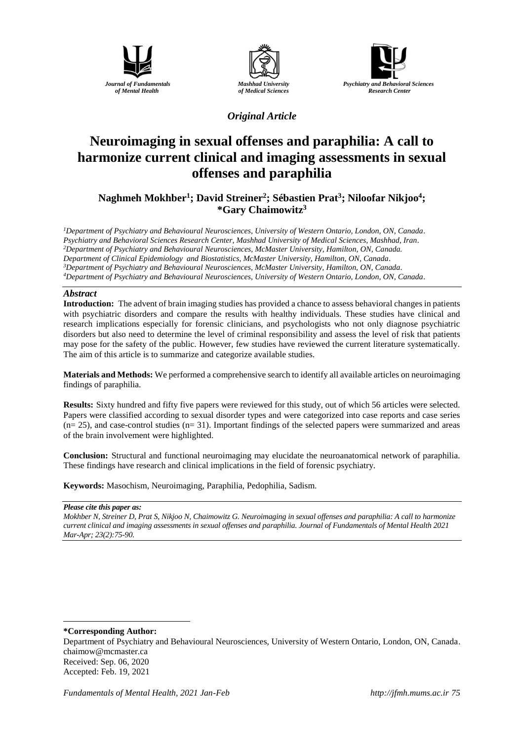





*Original Article*

# **Neuroimaging in sexual offenses and paraphilia: A call to harmonize current clinical and imaging assessments in sexual offenses and paraphilia**

**Naghmeh Mokhber<sup>1</sup> ; David Streiner<sup>2</sup> ; Sébastien Prat<sup>3</sup> ; Niloofar Nikjoo<sup>4</sup> ; \*Gary Chaimowitz<sup>3</sup>**

*Department of Psychiatry and Behavioural Neurosciences, University of Western Ontario, London, ON, Canada. Psychiatry and Behavioral Sciences Research Center, Mashhad University of Medical Sciences, Mashhad, Iran. Department of Psychiatry and Behavioural Neurosciences, McMaster University, Hamilton, ON, Canada. Department of Clinical Epidemiology and Biostatistics, McMaster University, Hamilton, ON, Canada. Department of Psychiatry and Behavioural Neurosciences, McMaster University, Hamilton, ON, Canada. Department of Psychiatry and Behavioural Neurosciences, University of Western Ontario, London, ON, Canada.*

## *Abstract*

**Introduction:** The advent of brain imaging studies has provided a chance to assess behavioral changes in patients with psychiatric disorders and compare the results with healthy individuals. These studies have clinical and research implications especially for forensic clinicians, and psychologists who not only diagnose psychiatric disorders but also need to determine the level of criminal responsibility and assess the level of risk that patients may pose for the safety of the public. However, few studies have reviewed the current literature systematically. The aim of this article is to summarize and categorize available studies.

**Materials and Methods:** We performed a comprehensive search to identify all available articles on neuroimaging findings of paraphilia.

**Results:** Sixty hundred and fifty five papers were reviewed for this study, out of which 56 articles were selected. Papers were classified according to sexual disorder types and were categorized into case reports and case series  $(n= 25)$ , and case-control studies  $(n= 31)$ . Important findings of the selected papers were summarized and areas of the brain involvement were highlighted.

**Conclusion:** Structural and functional neuroimaging may elucidate the neuroanatomical network of paraphilia. These findings have research and clinical implications in the field of forensic psychiatry.

**Keywords:** Masochism, Neuroimaging, Paraphilia, Pedophilia, Sadism.

#### *Please cite this paper as:*

*Mokhber N, Streiner D, Prat S, Nikjoo N, Chaimowitz G. Neuroimaging in sexual offenses and paraphilia: A call to harmonize current clinical and imaging assessments in sexual offenses and paraphilia. Journal of Fundamentals of Mental Health 2021 Mar-Apr; 23(2):75-90.*

**\*Corresponding Author:**

<u>.</u>

Department of Psychiatry and Behavioural Neurosciences, University of Western Ontario, London, ON, Canada. chaimow@mcmaster.ca Received: Sep. 06, 2020 Accepted: Feb. 19, 2021

*Fundamentals of Mental Health, 2021 Jan-Feb [http://jfmh.mums.ac.ir](http://jfmh.mums.ac.ir/) 75*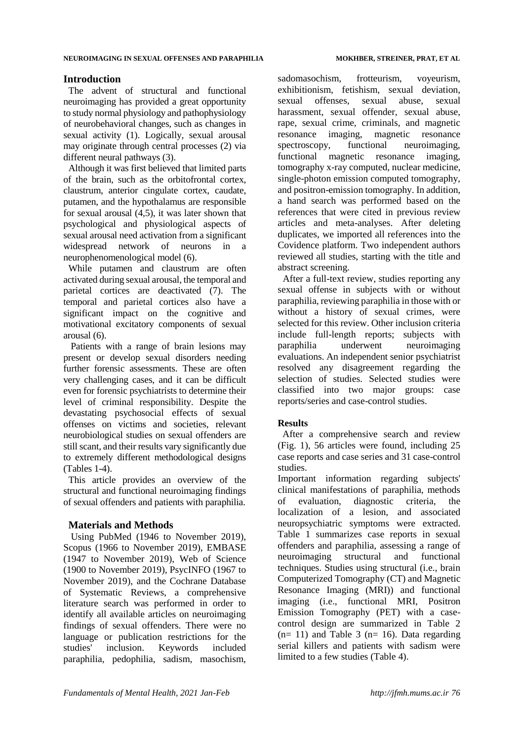## **Introduction**

The advent of structural and functional neuroimaging has provided a great opportunity to study normal physiology and pathophysiology of neurobehavioral changes, such as changes in sexual activity (1). Logically, sexual arousal may originate through central process[es](https://www.wizdom.ai/cite-in-google-docs/cid%3Df207539961c715c) (2) via different neural pathways (3[\).](https://www.wizdom.ai/cite-in-google-docs/cid%3Df20753a1164e069)

Although it was first believed that limited parts of the brain, such as the orbitofrontal cortex, claustrum, anterior cingulate cortex, caudate, putamen, and the hypothalamus are responsible for sexual arousal (4,5), it was later shown that psychological and physiological aspects of sexual arousal need activation from a significant widespread network of neurons in a neurophenomenological model (6[\).](https://www.wizdom.ai/cite-in-google-docs/cid%3Df20753a0ec1bc79)

While putamen and claustrum are often activated during sexual arousal, the temporal and parietal cortices are deactivated (7[\).](https://www.wizdom.ai/cite-in-google-docs/cid%3Df20f44e58729ae0) The temporal and parietal cortices also have a significant impact on the cognitive and motivational excitatory components of sexual arousal (6[\).](https://www.wizdom.ai/cite-in-google-docs/cid%3Df20753a0ec1bc79)

Patients with a range of brain lesions may present or develop sexual disorders needing further forensic assessments. These are often very challenging cases, and it can be difficult even for forensic psychiatrists to determine their level of criminal responsibili[ty. D](https://www.wizdom.ai/cite-in-google-docs/cid%3Df2083f0e2545d60)espite the devastating psychosocial effects of sexual offenses on victims and societies, relevant neurobiological studies on sexual offenders are still scant, and their results vary significantly due to extremely different methodological designs (Tables 1-4).

This article provides an overview of the structural and functional neuroimaging findings of sexual offenders and patients with paraphilia.

## **Materials and Methods**

Using PubMed (1946 to November 2019), Scopus (1966 to November 2019), EMBASE (1947 to November 2019), Web of Science (1900 to November 2019), PsycINFO (1967 to November 2019), and the Cochrane Database of Systematic Reviews, a comprehensive literature search was performed in order to identify all available articles on neuroimaging findings of sexual offenders. There were no language or publication restrictions for the studies' inclusion. Keywords included paraphilia, pedophilia, sadism, masochism,

sadomasochism, frotteurism, voyeurism, exhibitionism, fetishism, sexual deviation, sexual offenses, sexual abuse, sexual harassment, sexual offender, sexual abuse, rape, sexual crime, criminals, and magnetic resonance imaging, magnetic resonance spectroscopy, functional neuroimaging, functional magnetic resonance imaging, tomography x-ray computed, nuclear medicine, single-photon emission computed tomography, and positron-emission tomography. In addition, a hand search was performed based on the references that were cited in previous review articles and meta-analyses. After deleting duplicates, we imported all references into the Covidence platform. Two independent authors reviewed all studies, starting with the title and abstract screening.

After a full-text review, studies reporting any sexual offense in subjects with or without paraphilia, reviewing paraphilia in those with or without a history of sexual crimes, were selected for this review. Other inclusion criteria include full-length reports; subjects with paraphilia underwent neuroimaging evaluations. An independent senior psychiatrist resolved any disagreement regarding the selection of studies. Selected studies were classified into two major groups: case reports/series and case-control studies.

## **Results**

 After a comprehensive search and review (Fig. 1), 56 articles were found, including 25 case reports and case series and 31 case-control studies.

Important information regarding subjects' clinical manifestations of paraphilia, methods of evaluation, diagnostic criteria, the localization of a lesion, and associated neuropsychiatric symptoms were extracted. Table 1 summarizes case reports in sexual offenders and paraphilia, assessing a range of neuroimaging structural and functional techniques. Studies using structural (i.e., brain Computerized Tomography (CT) and Magnetic Resonance Imaging (MRI)) and functional imaging (i.e., functional MRI, Positron Emission Tomography (PET) with a casecontrol design are summarized in Table 2  $(n= 11)$  and Table 3  $(n= 16)$ . Data regarding serial killers and patients with sadism were limited to a few studies (Table 4).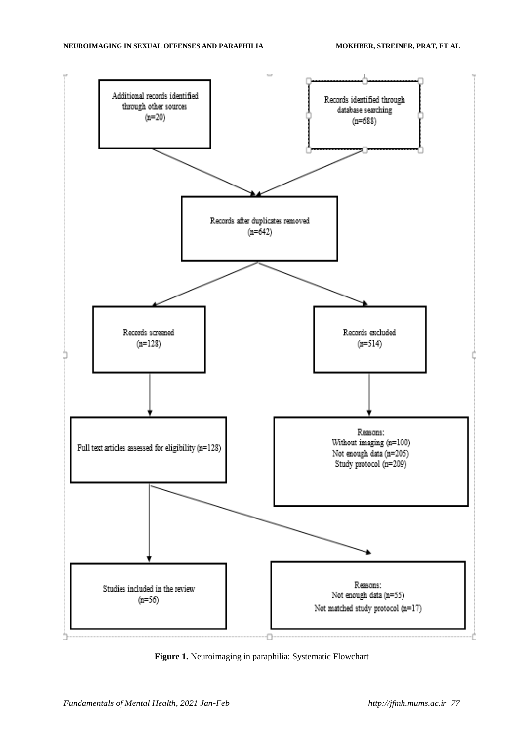

**Figure 1.** Neuroimaging in paraphilia: Systematic Flowchart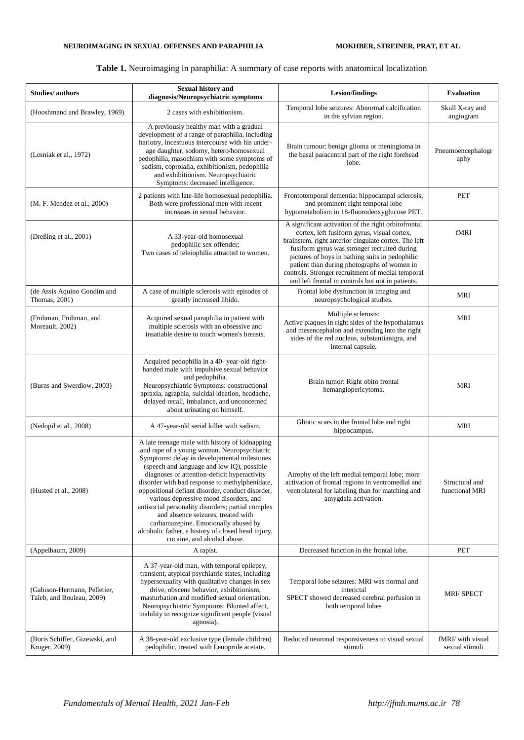## **Table 1.** Neuroimaging in paraphilia: A summary of case reports with anatomical localization

| <b>Studies/authors</b>                                    | <b>Sexual history and</b><br>diagnosis/Neuropsychiatric symptoms                                                                                                                                                                                                                                                                                                                                                                                                                                                                                                                                                   | <b>Lesion/findings</b>                                                                                                                                                                                                                                                                                                                                                                                                 | <b>Evaluation</b>                   |
|-----------------------------------------------------------|--------------------------------------------------------------------------------------------------------------------------------------------------------------------------------------------------------------------------------------------------------------------------------------------------------------------------------------------------------------------------------------------------------------------------------------------------------------------------------------------------------------------------------------------------------------------------------------------------------------------|------------------------------------------------------------------------------------------------------------------------------------------------------------------------------------------------------------------------------------------------------------------------------------------------------------------------------------------------------------------------------------------------------------------------|-------------------------------------|
| (Hooshmand and Brawley, 1969)                             | 2 cases with exhibitionism.                                                                                                                                                                                                                                                                                                                                                                                                                                                                                                                                                                                        | Temporal lobe seizures: Abnormal calcification<br>in the sylvian region.                                                                                                                                                                                                                                                                                                                                               | Skull X-ray and<br>angiogram        |
| (Lesniak et al., 1972)                                    | A previously healthy man with a gradual<br>development of a range of paraphilia, including<br>harlotry, incestuous intercourse with his under-<br>age daughter, sodomy, hetero/homosexual<br>pedophilia, masochism with some symptoms of<br>sadism, coprolalia, exhibitionism, pedophilia<br>and exhibitionism. Neuropsychiatric<br>Symptoms: decreased intelligence.                                                                                                                                                                                                                                              | Brain tumour: benign glioma or meningioma in<br>the basal paracentral part of the right forehead<br>lobe.                                                                                                                                                                                                                                                                                                              | Pneumoencephalogr<br>aphy           |
| (M. F. Mendez et al., 2000)                               | 2 patients with late-life homosexual pedophilia.<br>Both were professional men with recent<br>increases in sexual behavior.                                                                                                                                                                                                                                                                                                                                                                                                                                                                                        | Frontotemporal dementia: hippocampal sclerosis,<br>and prominent right temporal lobe<br>hypometabolism in 18-fluorodeoxyglucose PET.                                                                                                                                                                                                                                                                                   | <b>PET</b>                          |
| (Dreßing et al., 2001)                                    | A 33-year-old homosexual<br>pedophilic sex offender;<br>Two cases of teleiophilia attracted to women.                                                                                                                                                                                                                                                                                                                                                                                                                                                                                                              | A significant activation of the right orbitofrontal<br>cortex, left fusiform gyrus, visual cortex,<br>brainstem, right anterior cingulate cortex. The left<br>fusiform gyrus was stronger recruited during<br>pictures of boys in bathing suits in pedophilic<br>patient than during photographs of women in<br>controls. Stronger recruitment of medial temporal<br>and left frontal in controls but not in patients. | fMRI                                |
| (de Assis Aquino Gondim and<br>Thomas, 2001)              | A case of multiple sclerosis with episodes of<br>greatly increased libido.                                                                                                                                                                                                                                                                                                                                                                                                                                                                                                                                         | Frontal lobe dysfunction in imaging and<br>neuropsychological studies.                                                                                                                                                                                                                                                                                                                                                 | <b>MRI</b>                          |
| (Frohman, Frohman, and<br>Moreault, 2002)                 | Acquired sexual paraphilia in patient with<br>multiple sclerosis with an obsessive and<br>insatiable desire to touch women's breasts.                                                                                                                                                                                                                                                                                                                                                                                                                                                                              | Multiple sclerosis:<br>Active plaques in right sides of the hypothalamus<br>and mesencephalon and extending into the right<br>sides of the red nucleus, substantianigra, and<br>internal capsule.                                                                                                                                                                                                                      | MRI                                 |
| (Burns and Swerdlow, 2003)                                | Acquired pedophilia in a 40- year-old right-<br>handed male with impulsive sexual behavior<br>and pedophilia.<br>Neuropsychiatric Symptoms: constructional<br>apraxia, agraphia, suicidal ideation, headache,<br>delayed recall, imbalance, and unconcerned<br>about urinating on himself.                                                                                                                                                                                                                                                                                                                         | Brain tumor: Right obito frontal<br>hemangiopericytoma.                                                                                                                                                                                                                                                                                                                                                                | <b>MRI</b>                          |
| (Nedopil et al., 2008)                                    | A 47-year-old serial killer with sadism.                                                                                                                                                                                                                                                                                                                                                                                                                                                                                                                                                                           | Gliotic scars in the frontal lobe and right<br>hippocampus.                                                                                                                                                                                                                                                                                                                                                            | <b>MRI</b>                          |
| (Husted et al., 2008)                                     | A late teenage male with history of kidnapping<br>and rape of a young woman. Neuropsychiatric<br>Symptoms: delay in developmental milestones<br>(speech and language and low IQ), possible<br>diagnoses of attention-deficit hyperactivity<br>disorder with bad response to methylphenidate,<br>oppositional defiant disorder, conduct disorder,<br>various depressive mood disorders, and<br>antisocial personality disorders; partial complex<br>and absence seizures, treated with<br>carbamazepine. Emotionally abused by<br>alcoholic father, a history of closed head injury,<br>cocaine, and alcohol abuse. | Atrophy of the left medial temporal lobe; more<br>activation of frontal regions in ventromedial and<br>ventrolateral for labeling than for matching and<br>amygdala activation.                                                                                                                                                                                                                                        | Structural and<br>functional MRI    |
| (Appelbaum, 2009)                                         | A rapist.                                                                                                                                                                                                                                                                                                                                                                                                                                                                                                                                                                                                          | Decreased function in the frontal lobe.                                                                                                                                                                                                                                                                                                                                                                                | PET                                 |
| (Gabison-Hermann, Pelletier,<br>Taleb, and Bouleau, 2009) | A 37-year-old man, with temporal epilepsy,<br>transient, atypical psychiatric states, including<br>hypersexuality with qualitative changes in sex<br>drive, obscene behavior, exhibitionism,<br>masturbation and modified sexual orientation.<br>Neuropsychiatric Symptoms: Blunted affect,<br>inability to recognize significant people (visual<br>agnosia).                                                                                                                                                                                                                                                      | Temporal lobe seizures: MRI was normal and<br>interictal<br>SPECT showed decreased cerebral perfusion in<br>both temporal lobes                                                                                                                                                                                                                                                                                        | <b>MRI/SPECT</b>                    |
| (Boris Schiffer, Gizewski, and<br>Kruger, 2009)           | A 38-year-old exclusive type (female children)<br>pedophilic, treated with Leuopride acetate.                                                                                                                                                                                                                                                                                                                                                                                                                                                                                                                      | Reduced neuronal responsiveness to visual sexual<br>stimuli                                                                                                                                                                                                                                                                                                                                                            | fMRI/ with visual<br>sexual stimuli |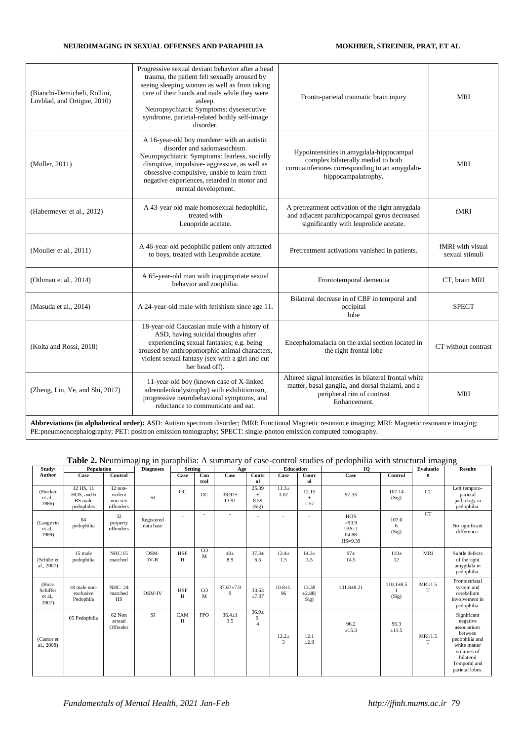| (Bianchi-Demicheli, Rollini,<br>Lovblad, and Ortigue, 2010) | Progressive sexual deviant behavior after a head<br>trauma, the patient felt sexually aroused by<br>seeing sleeping women as well as from taking<br>care of their hands and nails while they were<br>asleep.<br>Neuropsychiatric Symptoms: dysexecutive<br>syndrome, parietal-related bodily self-image<br>disorder. | Fronto-parietal traumatic brain injury                                                                                                                  | <b>MRI</b>                         |
|-------------------------------------------------------------|----------------------------------------------------------------------------------------------------------------------------------------------------------------------------------------------------------------------------------------------------------------------------------------------------------------------|---------------------------------------------------------------------------------------------------------------------------------------------------------|------------------------------------|
| (Müller, 2011)                                              | A 16-year-old boy murderer with an autistic<br>disorder and sadomasochism.<br>Neuropsychiatric Symptoms: fearless, socially<br>disruptive, impulsive- aggressive, as well as<br>obsessive-compulsive, unable to learn from<br>negative experiences, retarded in motor and<br>mental development.                     | Hypointensities in amygdala-hippocampal<br>complex bilaterally medial to both<br>cornuainferiores corresponding to an amygdalo-<br>hippocampalatrophy.  | <b>MRI</b>                         |
| (Habermeyer et al., 2012)                                   | A 43-year old male homosexual hedophilic,<br>treated with<br>Leuopride acetate.                                                                                                                                                                                                                                      | A pretreatment activation of the right amygdala<br>and adjacent parahippocampal gyrus decreased<br>significantly with leuprolide acetate.               | fMRI                               |
| (Moulier et al., 2011)                                      | A 46-year-old pedophilic patient only attracted<br>to boys, treated with Leuprolide acetate.                                                                                                                                                                                                                         | Pretreatment activations vanished in patients.                                                                                                          | fMRI with visual<br>sexual stimuli |
| (Othman et al., 2014)                                       | A 65-year-old man with inappropriate sexual<br>behavior and zoophilia.                                                                                                                                                                                                                                               | Frontotemporal dementia                                                                                                                                 | CT, brain MRI                      |
| (Masuda et al., 2014)                                       | A 24-year-old male with fetishism since age 11.                                                                                                                                                                                                                                                                      | Bilateral decrease in of CBF in temporal and<br>occipital<br>lobe                                                                                       | <b>SPECT</b>                       |
| (Kolta and Rossi, 2018)                                     | 18-year-old Caucasian male with a history of<br>ASD, having suicidal thoughts after<br>experiencing sexual fantasies; e.g. being<br>aroused by anthropomorphic animal characters,<br>violent sexual fantasy (sex with a girl and cut<br>her head off).                                                               | Encephalomalacia on the axial section located in<br>the right frontal lobe                                                                              | CT without contrast                |
| (Zheng, Lin, Ye, and Shi, 2017)                             | 11-year-old boy (known case of X-linked<br>adrenoleukodystrophy) with exhibitionism,<br>progressive neurobehavioral symptoms, and<br>reluctance to communicate and eat.                                                                                                                                              | Altered signal intensities in bilateral frontal white<br>matter, basal ganglia, and dorsal thalami, and a<br>peripheral rim of contrast<br>Enhancement. | <b>MRI</b>                         |

**Abbreviations (in alphabetical order):** ASD: Autism spectrum disorder; fMRI: Functional Magnetic resonance imaging; MRI: Magnetic resonance imaging; PE:pneumoencephalography; PET: positron emission tomography; SPECT: single-photon emission computed tomography.

## **Table 2.** Neuroimaging in paraphilia: A summary of case-control studies of pedophilia with structural imaging

| Study/                                 | Population                                       |                                              | <b>Diagnoses</b>        | <b>Setting</b>  |             | Age                      |                                           | <b>Education</b>  |                          | 10                                                       |                          | Evaluatio    | <b>Results</b>                                                                                                                                     |
|----------------------------------------|--------------------------------------------------|----------------------------------------------|-------------------------|-----------------|-------------|--------------------------|-------------------------------------------|-------------------|--------------------------|----------------------------------------------------------|--------------------------|--------------|----------------------------------------------------------------------------------------------------------------------------------------------------|
| Author                                 | Case                                             | Control                                      |                         | Case            | Con<br>trol | Case                     | Contr<br>ol                               | Case              | Contr<br>ol              | Case                                                     | Control                  | n            |                                                                                                                                                    |
| (Hucker<br>et al.<br>1986)             | 12 HS, 11<br>HOS, and 6<br>BS male<br>pedophiles | $12$ non-<br>violent<br>non-sex<br>offenders | SI                      | OC              | <b>OC</b>   | 38.97±<br>13.91          | 25.39<br>$\pm$<br>8.59<br>(Sig)           | $11.3+$<br>3.07   | 12.15<br>$\pm$<br>1.57   | 97.33                                                    | 107.14<br>(Sig)          | <b>CT</b>    | Left temporo-<br>parietal<br>pathology in<br>pedophilia.                                                                                           |
| (Langevin<br>et al.<br>1989)           | 84<br>pedophilia                                 | 32<br>property<br>offenders                  | Registered<br>data base | $\sim$          | $\sim$      | $\overline{\phantom{a}}$ |                                           |                   | $\overline{\phantom{a}}$ | <b>HOS</b><br>$=93.9$<br>$1BS=1$<br>04.88<br>$HS = 9.39$ | 107.0<br>6<br>(Sig)      | <b>CT</b>    | No significant<br>difference.                                                                                                                      |
| (Schiltz et<br>al., 2007)              | 15 male<br>pedophilia                            | <b>NHC:15</b><br>matched                     | DSM-<br>IV-R            | <b>HSF</b><br>H | CO<br>M     | 40 <sub>±</sub><br>8.9   | $37.3+$<br>6.5                            | $12.4 +$<br>1.5   | $14.3 +$<br>3.5          | 97 <sub>±</sub><br>14.5                                  | $110\pm$<br>12           | <b>MRI</b>   | Subtle defects<br>of the right<br>amygdala in<br>pedophilia.                                                                                       |
| (Boris<br>Schiffer<br>et al.,<br>2007) | 18 male non-<br>exclusive<br>Pedophila           | <b>NHC: 24</b><br>matched<br>HS              | DSM-IV                  | <b>HSF</b><br>H | CO<br>M     | $37.67 \pm 7.9$<br>9     | 33.63<br>±7.07                            | $10.8 + 1.$<br>96 | 13.38<br>±2.88(<br>Sig)  | $101.8 + 8.21$                                           | $110.1 \pm 8.5$<br>(Sig) | MRI/1.5<br>T | Frontostriatal<br>system and<br>cerebellum<br>involvement in<br>pedophilia.                                                                        |
| (Cantor et<br>al., 2008)               | 65 Pedophilia                                    | 62 Non<br>sexual<br>Offender                 | SI                      | CAM<br>H        | <b>FPO</b>  | $36.4 \pm 1$<br>3.5      | 36.9 <sub>±</sub><br>9.<br>$\overline{4}$ | $12.2 +$<br>3     | 12.1<br>$\pm 2.8$        | 96.2<br>$\pm 15.3$                                       | 96.3<br>±11.5            | MRI/1.5<br>T | Significant<br>negative<br>associations<br>between<br>pedophilia and<br>white matter<br>volumes of<br>bilateral<br>Temporal and<br>parietal lobes. |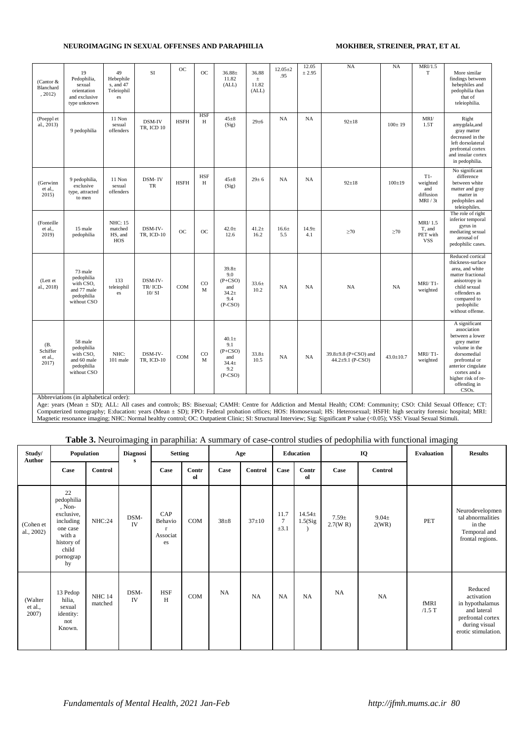| (Cantor &<br>Blanchard<br>, 2012)   | 19<br>Pedophilia,<br>sexual<br>orientation<br>and exclusive<br>type unknown                                              | 49<br>Hebephile<br>s, and 47<br>Teleiophil<br>es   | SI                           | OC          | <b>OC</b>        | $36.88 \pm$<br>11.82<br>(ALL)                                         | 36.88<br>$\pm$<br>11.82<br>(ALL) | $12.05 + 2$<br>.95 | 12.05<br>± 2.95 | NA                                             | <b>NA</b>       | MRI/1.5<br>$\mathbf T$                            | More similar<br>findings between<br>hebephiles and<br>pedophilia than<br>that of<br>teleiophilia.                                                                                                                 |
|-------------------------------------|--------------------------------------------------------------------------------------------------------------------------|----------------------------------------------------|------------------------------|-------------|------------------|-----------------------------------------------------------------------|----------------------------------|--------------------|-----------------|------------------------------------------------|-----------------|---------------------------------------------------|-------------------------------------------------------------------------------------------------------------------------------------------------------------------------------------------------------------------|
| (Poeppl et<br>al., 2013)            | 9 pedophilia                                                                                                             | 11 Non<br>sexual<br>offenders                      | DSM-IV<br>TR, ICD 10         | <b>HSFH</b> | <b>HSF</b><br>H  | $45 + 8$<br>(Sig)                                                     | $29 + 6$                         | <b>NA</b>          | NA              | $92 + 18$                                      | $100 \pm 19$    | MRI/<br>1.5T                                      | Right<br>amygdala, and<br>gray matter<br>decreased in the<br>left dorsolateral<br>prefrontal cortex<br>and insular cortex<br>in pedophilia.                                                                       |
| (Gerwinn<br>et al.,<br>2015)        | 9 pedophilia,<br>exclusive<br>type, attracted<br>to men                                                                  | 11 Non<br>sexual<br>offenders                      | DSM-IV<br>TR                 | <b>HSFH</b> | <b>HSF</b><br>H  | $45 + 8$<br>(Sig)                                                     | $29 \pm 6$                       | <b>NA</b>          | <b>NA</b>       | $92 + 18$                                      | $100 \pm 19$    | $T1-$<br>weighted<br>and<br>diffusion<br>MRI / 3t | No significant<br>difference<br>between white<br>matter and gray<br>matter in<br>pedophiles and<br>teleiophiles.                                                                                                  |
| (Fonteille<br>et al.,<br>2019)      | 15 male<br>pedophilia                                                                                                    | <b>NHC: 15</b><br>matched<br>HS, and<br><b>HOS</b> | DSM-IV-<br>TR, ICD-10        | OC          | OC               | $42.0+$<br>12.6                                                       | $41.2 +$<br>16.2                 | $16.6 +$<br>5.5    | $14.9 +$<br>4.1 | $\geq 70$                                      | $\geq 70$       | MRI/1.5<br>T. and<br>PET with<br><b>VSS</b>       | The role of right<br>inferior temporal<br>gyrus in<br>mediating sexual<br>arousal of<br>pedophilic cases.                                                                                                         |
| (Lett et<br>al., 2018)              | 73 male<br>pedophilia<br>with CSO,<br>and 77 male<br>pedophilia<br>without CSO                                           | 133<br>teleiophil<br>es                            | DSM-IV-<br>TR/ICD-<br>10/SI  | <b>COM</b>  | CO<br>M          | $39.8 +$<br>9.0<br>$(P + CSO)$<br>and<br>$34.2+$<br>9.4<br>$(P-CSO)$  | $33.6+$<br>10.2                  | <b>NA</b>          | NA              | NA                                             | <b>NA</b>       | MRI/T1-<br>weighted                               | Reduced cortical<br>thickness-surface<br>area, and white<br>matter fractional<br>anisotropy in<br>child sexual<br>offenders as<br>compared to<br>pedophilic<br>without offense.                                   |
| (B.<br>Schiffer<br>et al.,<br>2017) | 58 male<br>pedophilia<br>with CSO.<br>and 60 male<br>pedophilia<br>without CSO<br>Abbreviations (in alphabetical order): | NHC:<br>101 male                                   | DSM-IV-<br><b>TR, ICD-10</b> | COM         | $_{\rm CO}$<br>M | $40.1 +$<br>9.1<br>$(P + CSO)$<br>and<br>$34.4 +$<br>9.2<br>$(P-CSO)$ | $33.8+$<br>10.5                  | NA                 | <b>NA</b>       | 39.8±9.8 (P+CSO) and<br>44.2 $\pm$ 9.1 (P-CSO) | $43.0 \pm 10.7$ | MRI/T1-<br>weighted                               | A significant<br>association<br>between a lower<br>grey matter<br>volume in the<br>dorsomedial<br>prefrontal or<br>anterior cingulate<br>cortex and a<br>higher risk of re-<br>offending in<br>CSO <sub>s</sub> . |

Abbreviations (in alphabetical order):

Age: years (Mean ± SD); ALL: All cases and controls; BS: Bisexual; CAMH: Centre for Addiction and Mental Health; COM: Community; CSO: Child Sexual Offence; CT: Computerized tomography; E:ducation: years (Mean ± SD); FPO: Federal probation offices; HOS: Homosexual; HS: Heterosexual; HSFH: high security forensic hospital; MRI: Magnetic resonance imaging; NHC: Normal healthy control; OC: Outpatient Clinic; SI: Structural Interview; Sig: Significant P value (<0.05); VSS: Visual Sexual Stimuli.

## **Table 3.** Neuroimaging in paraphilia: A summary of case-control studies of pedophilia with functional imaging

| Study/<br>Author            | Population                                                                                                            |                          | <b>Diagnosi</b><br>s | <b>Setting</b>                   |             |          | Age       |                             | Education               |                        | IQ                 | Evaluation       | <b>Results</b>                                                                                                       |
|-----------------------------|-----------------------------------------------------------------------------------------------------------------------|--------------------------|----------------------|----------------------------------|-------------|----------|-----------|-----------------------------|-------------------------|------------------------|--------------------|------------------|----------------------------------------------------------------------------------------------------------------------|
|                             | Case                                                                                                                  | Control                  |                      | Case                             | Contr<br>ol | Case     | Control   | Case                        | Contr<br>ol             | Case                   | <b>Control</b>     |                  |                                                                                                                      |
| (Cohen et<br>al., 2002)     | 22<br>pedophilia<br>, Non-<br>exclusive,<br>including<br>one case<br>with a<br>history of<br>child<br>pornograp<br>hy | NHC:24                   | DSM-<br><b>IV</b>    | CAP<br>Behavio<br>Associat<br>es | COM         | $38 + 8$ | $37 + 10$ | 11.7<br>$\tau$<br>$\pm 3.1$ | $14.54 \pm$<br>1.5(Sig) | $7.59 \pm$<br>2.7(W R) | $9.04\pm$<br>2(WR) | PET              | Neurodevelopmen<br>tal abnormalities<br>in the<br>Temporal and<br>frontal regions.                                   |
| (Walter<br>et al.,<br>2007) | 13 Pedop<br>hilia,<br>sexual<br>identity:<br>not<br>Known.                                                            | <b>NHC 14</b><br>matched | DSM-<br><b>IV</b>    | <b>HSF</b><br>H                  | COM         | NA       | NA        | NA                          | NA                      | NA                     | NA                 | fMRI<br>$/1.5$ T | Reduced<br>activation<br>in hypothalamus<br>and lateral<br>prefrontal cortex<br>during visual<br>erotic stimulation. |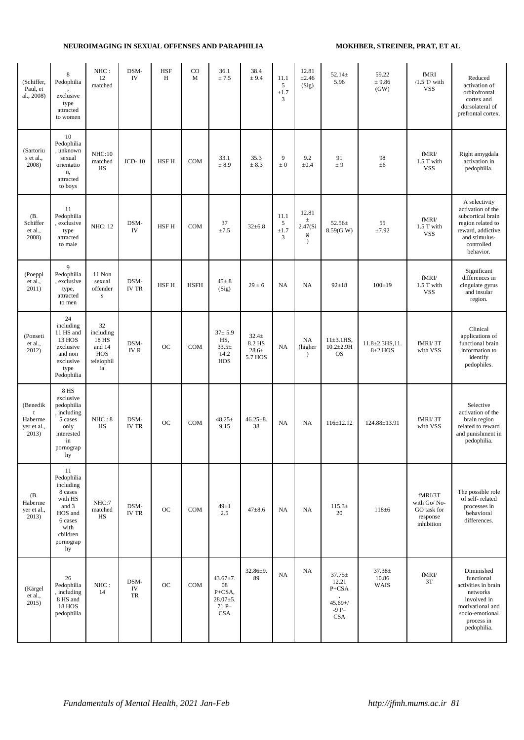| (Schiffer,<br>Paul, et<br>al., 2008)        | 8<br>Pedophilia<br>exclusive<br>type<br>attracted<br>to women                                                             | NHC:<br>12<br>matched                                         | DSM-<br>IV           | <b>HSF</b><br>H | CO<br>M     | 36.1<br>± 7.5                                                           | 38.4<br>± 9.4                              | 11.1<br>5<br>$\pm 1.7$<br>3          | 12.81<br>$\pm 2.46$<br>(Sig)                 | $52.14 \pm$<br>5.96                                                  | 59.22<br>± 9.86<br>(GW)               | fMRI<br>$/1.5$ T/ with<br><b>VSS</b>                            | Reduced<br>activation of<br>orbitofrontal<br>cortex and<br>dorsolateral of<br>prefrontal cortex.                                               |
|---------------------------------------------|---------------------------------------------------------------------------------------------------------------------------|---------------------------------------------------------------|----------------------|-----------------|-------------|-------------------------------------------------------------------------|--------------------------------------------|--------------------------------------|----------------------------------------------|----------------------------------------------------------------------|---------------------------------------|-----------------------------------------------------------------|------------------------------------------------------------------------------------------------------------------------------------------------|
| (Sartoriu<br>s et al.,<br>2008)             | 10<br>Pedophilia<br>, unknown<br>sexual<br>orientatio<br>n,<br>attracted<br>to boys                                       | NHC:10<br>matched<br>HS                                       | ICD- $10$            | HSF H           | <b>COM</b>  | 33.1<br>± 8.9                                                           | 35.3<br>± 8.3                              | 9<br>$\pm$ 0                         | 9.2<br>$\pm 0.4$                             | 91<br>± 9                                                            | 98<br>±6                              | fMRI/<br>1.5 T with<br><b>VSS</b>                               | Right amygdala<br>activation in<br>pedophilia.                                                                                                 |
| (B.<br>Schiffer<br>et al.,<br>2008)         | 11<br>Pedophilia<br>, exclusive<br>type<br>attracted<br>to male                                                           | <b>NHC: 12</b>                                                | DSM-<br>IV           | HSF H           | <b>COM</b>  | $37\,$<br>$\pm 7.5$                                                     | $32 \pm 6.8$                               | 11.1<br>$\sqrt{5}$<br>$\pm 1.7$<br>3 | 12.81<br>$\pm$<br>2.47(Si)<br>g<br>$\lambda$ | $52.56\pm$<br>8.59(GW)                                               | 55<br>±7.92                           | fMRI/<br>1.5 T with<br><b>VSS</b>                               | A selectivity<br>activation of the<br>subcortical brain<br>region related to<br>reward, addictive<br>and stimulus-<br>controlled<br>behavior.  |
| (Poeppl<br>et al.,<br>2011)                 | 9<br>Pedophilia<br>, exclusive<br>type,<br>attracted<br>to men                                                            | 11 Non<br>sexual<br>offender<br>$\bf S$                       | DSM-<br><b>IV TR</b> | <b>HSFH</b>     | <b>HSFH</b> | $45 \pm 8$<br>(Sig)                                                     | $29 \pm 6$                                 | <b>NA</b>                            | NA                                           | $92 \pm 18$                                                          | $100 \pm 19$                          | fMRI/<br>1.5 T with<br><b>VSS</b>                               | Significant<br>differences in<br>cingulate gyrus<br>and insular<br>region.                                                                     |
| (Ponseti<br>et al.,<br>2012)                | 24<br>including<br>11 HS and<br>13 HOS<br>exclusive<br>and non<br>exclusive<br>type<br>Pedophilia                         | 32<br>including<br>18 HS<br>and 14<br>HOS<br>teleiophil<br>ia | DSM-<br><b>IVR</b>   | OC              | COM         | $37 + 5.9$<br>HS,<br>$33.5+$<br>14.2<br>HOS                             | $32.4+$<br>8.2 HS<br>$28.6 \pm$<br>5.7 HOS | NA                                   | NA<br>(higher<br>$\lambda$                   | $11\pm3.1$ HS,<br>$10.2 \pm 2.9$ H<br><b>OS</b>                      | $11.8 \pm 2.3$ HS, 11.<br>$8\pm2$ HOS | fMRI/3T<br>with VSS                                             | Clinical<br>applications of<br>functional brain<br>information to<br>identify<br>pedophiles.                                                   |
| (Benedik<br>Haberme<br>yer et al.,<br>2013) | <b>8 HS</b><br>exclusive<br>pedophilia<br>, including<br>5 cases<br>only<br>interested<br>in<br>pornograp<br>hy           | NHC:8<br><b>HS</b>                                            | DSM-<br>IV TR        | <b>OC</b>       | <b>COM</b>  | $48.25 \pm$<br>9.15                                                     | $46.25 \pm 8.$<br>38                       | NA                                   | NA                                           | $116 \pm 12.12$                                                      | 124.88±13.91                          | fMRI/3T<br>with VSS                                             | Selective<br>activation of the<br>brain region<br>related to reward<br>and punishment in<br>pedophilia.                                        |
| (B.<br>Haberme<br>yer et al.,<br>2013)      | 11<br>Pedophilia<br>including<br>8 cases<br>with HS<br>and 3<br>HOS and<br>6 cases<br>with<br>children<br>pornograp<br>hy | NHC:7<br>matched<br>HS                                        | DSM-<br><b>IV TR</b> | OC              | <b>COM</b>  | $49 \pm 1$<br>2.5                                                       | $47 + 8.6$                                 | NA                                   | NA                                           | $115.3\pm$<br>20                                                     | $118 \pm 6$                           | fMRI/3T<br>with Go/No-<br>GO task for<br>response<br>inhibition | The possible role<br>of self-related<br>processes in<br>behavioral<br>differences.                                                             |
| (Kärgel<br>et al.,<br>2015)                 | 26<br>Pedophilia<br>, including<br>8 HS and<br><b>18 HOS</b><br>pedophilia                                                | NHC:<br>14                                                    | DSM-<br>IV<br>TR     | OC              | COM         | $43.67 \pm 7.$<br>08<br>P+CSA,<br>$28.07 \pm 5.$<br>71 P-<br><b>CSA</b> | $32.86 \pm 9.$<br>89                       | NA                                   | NA                                           | $37.75 \pm$<br>12.21<br>P+CSA<br>$45.69 + /$<br>$-9P-$<br><b>CSA</b> | $37.38 \pm$<br>10.86<br><b>WAIS</b>   | fMRI/<br>3T                                                     | Diminished<br>functional<br>activities in brain<br>networks<br>involved in<br>motivational and<br>socio-emotional<br>process in<br>pedophilia. |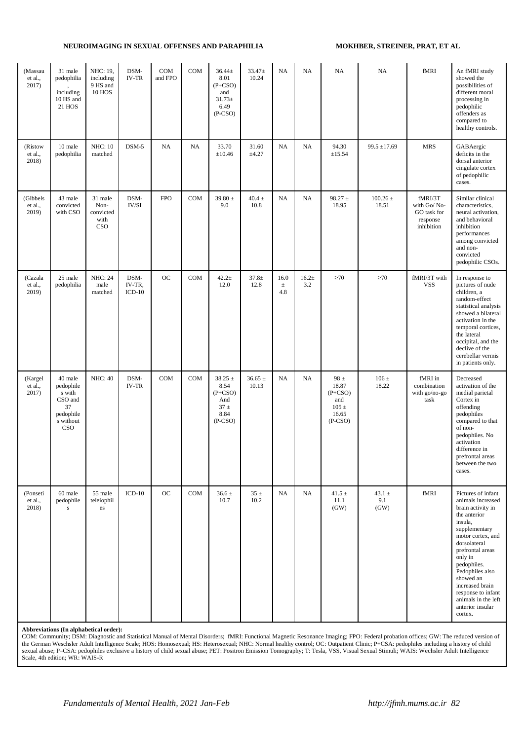| (Massau<br>et al.,<br>2017)  | 31 male<br>pedophilia<br>including<br>10 HS and<br>21 HOS                        | NHC: 19,<br>including<br>9 HS and<br><b>10 HOS</b> | DSM-<br>IV-TR              | COM<br>and FPO | COM | $36.44 \pm$<br>8.01<br>$(P+CSO)$<br>and<br>$31.73 \pm$<br>6.49<br>$(P-CSO)$ | $33.47 \pm$<br>10.24 | NA                   | NA              | NA                                                                         | NA                        | fMRI                                                            | An fMRI study<br>showed the<br>possibilities of<br>different moral<br>processing in<br>pedophilic<br>offenders as<br>compared to<br>healthy controls.                                                                                                                                                                      |
|------------------------------|----------------------------------------------------------------------------------|----------------------------------------------------|----------------------------|----------------|-----|-----------------------------------------------------------------------------|----------------------|----------------------|-----------------|----------------------------------------------------------------------------|---------------------------|-----------------------------------------------------------------|----------------------------------------------------------------------------------------------------------------------------------------------------------------------------------------------------------------------------------------------------------------------------------------------------------------------------|
| (Ristow<br>et al.,<br>2018)  | 10 male<br>pedophilia                                                            | <b>NHC: 10</b><br>matched                          | $DSM-5$                    | NA             | NA  | 33.70<br>$\pm 10.46$                                                        | 31.60<br>±4.27       | NA                   | NA              | 94.30<br>±15.54                                                            | $99.5 \pm 17.69$          | <b>MRS</b>                                                      | GABAergic<br>deficits in the<br>dorsal anterior<br>cingulate cortex<br>of pedophilic<br>cases.                                                                                                                                                                                                                             |
| (Gibbels<br>et al.,<br>2019) | 43 male<br>convicted<br>with CSO                                                 | 31 male<br>Non-<br>convicted<br>with<br>CSO        | DSM-<br>IV/SI              | <b>FPO</b>     | COM | 39.80 $\pm$<br>9.0                                                          | $40.4 \pm$<br>10.8   | NA                   | NA              | $98.27 \pm$<br>18.95                                                       | $100.26\,\pm\,$<br>18.51  | fMRI/3T<br>with Go/No-<br>GO task for<br>response<br>inhibition | Similar clinical<br>characteristics,<br>neural activation,<br>and behavioral<br>inhibition<br>performances<br>among convicted<br>and non-<br>convicted<br>pedophilic CSOs.                                                                                                                                                 |
| (Cazala<br>et al.,<br>2019)  | 25 male<br>pedophilia                                                            | <b>NHC: 24</b><br>male<br>matched                  | DSM-<br>IV-TR,<br>$ICD-10$ | <b>OC</b>      | COM | $42.2 +$<br>12.0                                                            | $37.8 \pm$<br>12.8   | 16.0<br>$\pm$<br>4.8 | $16.2 +$<br>3.2 | $\geq 70$                                                                  | $\geq 70$                 | fMRI/3T with<br><b>VSS</b>                                      | In response to<br>pictures of nude<br>children, a<br>random-effect<br>statistical analysis<br>showed a bilateral<br>activation in the<br>temporal cortices,<br>the lateral<br>occipital, and the<br>declive of the<br>cerebellar vermis<br>in patients only.                                                               |
| (Kargel<br>et al.,<br>2017)  | 40 male<br>pedophile<br>s with<br>CSO and<br>37<br>pedophile<br>s without<br>CSO | <b>NHC: 40</b>                                     | DSM-<br><b>IV-TR</b>       | COM            | COM | $38.25 \pm$<br>8.54<br>$(P + CSO)$<br>And<br>$37 \pm$<br>8.84<br>$(P-CSO)$  | $36.65 \pm$<br>10.13 | NA                   | NA              | 98 $\pm$<br>18.87<br>$(P + CSO)$<br>and<br>$105 \pm$<br>16.65<br>$(P-CSO)$ | 106 $\pm$<br>18.22        | fMRI in<br>combination<br>with go/no-go<br>task                 | Decreased<br>activation of the<br>medial parietal<br>Cortex in<br>offending<br>pedophiles<br>compared to that<br>of non-<br>pedophiles. No<br>activation<br>difference in<br>prefrontal areas<br>between the two<br>cases.                                                                                                 |
| (Ponseti<br>et al.,<br>2018) | 60 male<br>pedophile<br>s                                                        | 55 male<br>teleiophil<br>es                        | $ICD-10$                   | OC             | COM | $36.6 \pm$<br>10.7                                                          | $35 \pm$<br>10.2     | NA                   | NA              | 41.5 $\pm$<br>11.1<br>(GW)                                                 | $43.1 \pm$<br>9.1<br>(GW) | fMRI                                                            | Pictures of infant<br>animals increased<br>brain activity in<br>the anterior<br>insula,<br>supplementary<br>motor cortex, and<br>dorsolateral<br>prefrontal areas<br>only in<br>pedophiles.<br>Pedophiles also<br>showed an<br>increased brain<br>response to infant<br>animals in the left<br>anterior insular<br>cortex. |

Abbreviations (In alphabetical order):<br>COM: Community; DSM: Diagnostic and Statistical Manual of Mental Disorders; fMRI: Functional Magnetic Resonance Imaging; FPO: Federal probation offices; GW: The reduced version of the German Weschsler Adult Intelligence Scale; HOS: Homosexual; HS: Heterosexual; NHC: Normal healthy control; OC: Outpatient Clinic; P+CSA: pedophiles including a history of child sexual abuse; P–CSA: pedophiles exclusive a history of child sexual abuse; PET: Positron Emission Tomography; T: Tesla, VSS, Visual Sexual Stimuli; WAIS: Wechsler Adult Intelligence Scale, 4th edition; WR: WAIS-R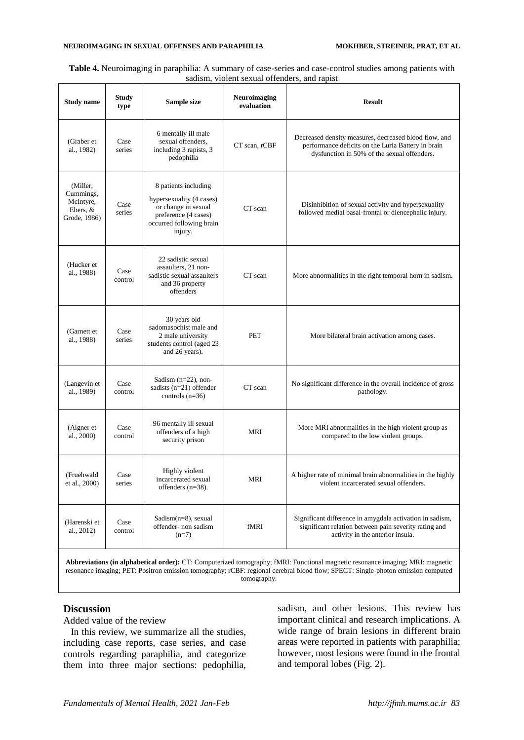| Table 4. Neuroimaging in paraphilia: A summary of case-series and case-control studies among patients with |
|------------------------------------------------------------------------------------------------------------|
| sadism, violent sexual offenders, and rapist                                                               |

| <b>Study name</b>                                              | <b>Study</b><br>type | Sample size                                                                                                                            | Neuroimaging<br>evaluation | <b>Result</b>                                                                                                                                              |
|----------------------------------------------------------------|----------------------|----------------------------------------------------------------------------------------------------------------------------------------|----------------------------|------------------------------------------------------------------------------------------------------------------------------------------------------------|
| (Graber et<br>al., 1982)                                       | Case<br>series       | 6 mentally ill male<br>sexual offenders.<br>including 3 rapists, 3<br>pedophilia                                                       | CT scan, rCBF              | Decreased density measures, decreased blood flow, and<br>performance deficits on the Luria Battery in brain<br>dysfunction in 50% of the sexual offenders. |
| (Miller,<br>Cummings,<br>McIntyre,<br>Ebers, &<br>Grode, 1986) | Case<br>series       | 8 patients including<br>hypersexuality (4 cases)<br>or change in sexual<br>preference (4 cases)<br>occurred following brain<br>injury. | CT scan                    | Disinhibition of sexual activity and hypersexuality<br>followed medial basal-frontal or diencephalic injury.                                               |
| (Hucker et<br>al., 1988)                                       | Case<br>control      | 22 sadistic sexual<br>assaulters, 21 non-<br>sadistic sexual assaulters<br>and 36 property<br>offenders                                | CT scan                    | More abnormalities in the right temporal horn in sadism.                                                                                                   |
| (Garnett et<br>al., 1988)                                      | Case<br>series       | 30 years old<br>sadomasochist male and<br>2 male university<br>students control (aged 23<br>and 26 years).                             | <b>PET</b>                 | More bilateral brain activation among cases.                                                                                                               |
| (Langevin et<br>al., 1989)                                     | Case<br>control      | Sadism $(n=22)$ , non-<br>sadists $(n=21)$ offender<br>controls $(n=36)$                                                               | CT scan                    | No significant difference in the overall incidence of gross<br>pathology.                                                                                  |
| (Aigner et<br>al., 2000)                                       | Case<br>control      | 96 mentally ill sexual<br>offenders of a high<br>security prison                                                                       | <b>MRI</b>                 | More MRI abnormalities in the high violent group as<br>compared to the low violent groups.                                                                 |
| (Fruehwald<br>et al., 2000)                                    | Case<br>series       | Highly violent<br>incarcerated sexual<br>offenders $(n=38)$ .                                                                          | <b>MRI</b>                 | A higher rate of minimal brain abnormalities in the highly<br>violent incarcerated sexual offenders.                                                       |
| (Harenski et<br>al., 2012)                                     | Case<br>control      | Sadism $(n=8)$ , sexual<br>offender- non sadism<br>$(n=7)$                                                                             | fMRI                       | Significant difference in amygdala activation in sadism,<br>significant relation between pain severity rating and<br>activity in the anterior insula.      |
|                                                                |                      |                                                                                                                                        |                            |                                                                                                                                                            |

**Abbreviations (in alphabetical order):** CT: Computerized tomography; fMRI: Functional magnetic resonance imaging; MRI: magnetic resonance imaging; PET: Positron emission tomography; rCBF: regional cerebral blood flow; SPECT: Single-photon emission computed tomography.

### **Discussion**

Added value of the review

In this review, we summarize all the studies, including case reports, case series, and case controls regarding paraphilia, and categorize them into three major sections: pedophilia,

sadism, and other lesions. This review has important clinical and research implications. A wide range of brain lesions in different brain areas were reported in patients with paraphilia; however, most lesions were found in the frontal and temporal lobes (Fig. 2).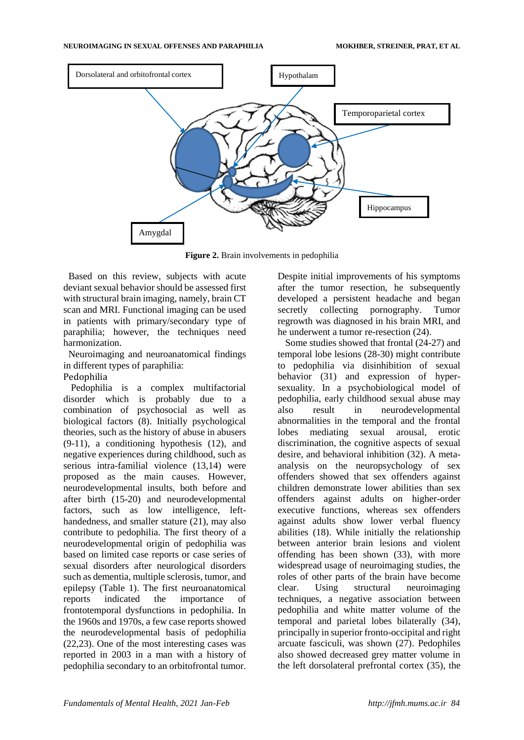

**Figure 2.** Brain involvements in pedophilia

Based on this review, subjects with acute deviant sexual behavior should be assessed first with structural brain imaging, namely, brain CT scan and MRI. Functional imaging can be used in patients with primary/secondary type of paraphilia; however, the techniques need harmonization.

Neuroimaging and neuroanatomical findings in different types of paraphilia:

Pedophilia

Pedophilia is a complex multifactorial disorder which is probably due to a combination of psychosocial as well as biological factors (8[\).](https://www.wizdom.ai/cite-in-google-docs/cid%3Df20f7cff3335f06) Initially psychological theories, such as the history of abuse in abusers (9-11[\),](https://www.wizdom.ai/cite-in-google-docs/cid%3Df20858abad457cd%2Bf207539b47ee338%2Bf20f44e58626fa0) a conditioning hypothesis (12[\),](https://www.wizdom.ai/cite-in-google-docs/cid%3Df20fe2fced01518) and negative experiences during childhood, such as serious intra-familial violence (13,14) were proposed as the main causes. However, neurodevelopmental insults, both before and aft[er birth \(](https://www.wizdom.ai/cite-in-google-docs/cid%3Df20753a23d34529%2Bf207539b16650bd%2Bf207539c03630ae%2Bf20753a3ad2af93%2Bf20753a40721d53%2Bf20f44f56352b00)15-20) and neurodevelopmental factors, such as low intelligence, lefthandedness, and smaller statu[re \(](https://www.wizdom.ai/cite-in-google-docs/cid%3Df20753995a69f33)21), may also contribute to pedophilia. The first theory of a neurodevelopmental origin of pedophilia was based on limited case reports or case series of sexual disorders after neurological disorders such as dementia, multiple sclerosis, tumor, and epilepsy (Table 1). The first neuroanatomical reports indicated the importance of frontotemporal dysfunctions in pedophilia. In the 1960s and 1970s, a few case reports showed the neurodevelopmental basis of pedophil[ia](https://www.wizdom.ai/cite-in-google-docs/cid%3Df207539dca87a73%2Bf207539a8220a58) (22,23). One of the most interesting cases was reported in 2003 in a man with a history of pedophilia secondary to an orbitofrontal tumor.

Despite initial improvements of his symptoms after the tumor resection, he subsequently developed a persistent headache and began secretly collecting pornography. Tumor regrowth was diagnosed in his brain MRI, and he underwent a tumor r[e-resection](https://www.wizdom.ai/cite-in-google-docs/cid%3Df20753a2ec556a2) (24).

Some studies showed that [frontal \(](https://www.wizdom.ai/cite-in-google-docs/cid%3Df20753a2ec556a2%2Bf207539be6c6951%2Bf207539b918795c%2Bf207539ef0147c1)24-27) and temporal lobe lesions (28-30) might contribute to pedophilia via disinhibition of sexual beh[avior](https://www.wizdom.ai/cite-in-google-docs/cid%3Df2083f0e2545d60) (31) and expression of hypersexuality. In a psychobiological model of pedophilia, early childhood sexual abuse may also result in neurodevelopmental abnormalities in the temporal and the frontal lobes mediating sexual arousal, erotic discrimination, the cognitive aspects of sexual desire, and behavioral inhibition (32[\).](https://www.wizdom.ai/cite-in-google-docs/cid%3Df20753a20387b46) A metaanalysis on the neuropsychology of sex offenders showed that sex offenders against children demonstrate lower abilities than sex offenders against adults on higher-order executive functions, whereas sex offenders against adults show lower verbal fluency abilities (18[\).](https://www.wizdom.ai/cite-in-google-docs/cid%3Df20f44f56352b00) While initially the relationship between anterior brain lesions and violent offending has been sho[wn \(](https://www.wizdom.ai/cite-in-google-docs/cid%3Df20753995c199e9)33), with more widespread usage of neuroimaging studies, the roles of other parts of the brain have become clear. Using structural neuroimaging techniques, a negative association between pedophilia and white matter volume of the temporal and parietal lobes bilaterally (34[\),](https://www.wizdom.ai/cite-in-google-docs/cid%3Df20753a16bf0f9b) principally in superior fronto-occipital and right arcuate fasciculi, was shown (27[\).](https://www.wizdom.ai/cite-in-google-docs/cid%3Df207539ef0147c1) Pedophiles also showed decreased grey matter volume in the left dorsolateral prefrontal cortex (35[\),](https://www.wizdom.ai/cite-in-google-docs/cid%3Df20753a3bbfbc4e) the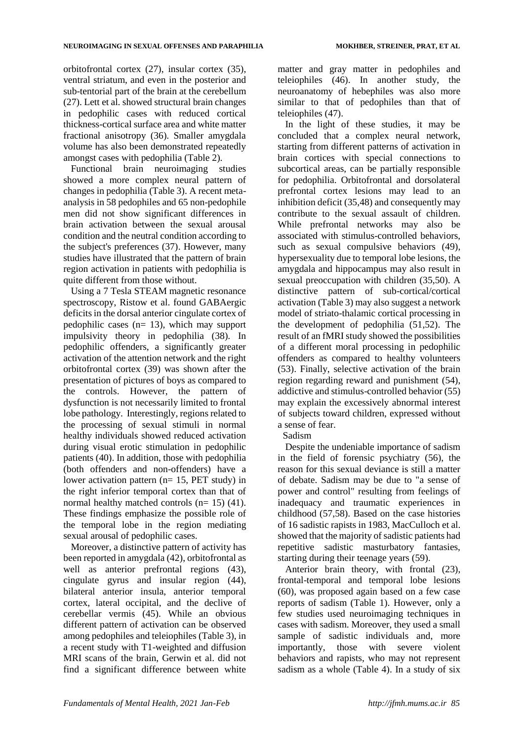orbitofrontal cortex (27[\),](https://www.wizdom.ai/cite-in-google-docs/cid%3Df207539ef0147c1) insular cortex (35[\),](https://www.wizdom.ai/cite-in-google-docs/cid%3Df20753a3bbfbc4e) ventral striatum, and even in the posterior and sub-tentorial part of the brain at the cerebel[lum](https://www.wizdom.ai/cite-in-google-docs/cid%3Df207539ef0147c1) (27). Lett et al. showed structural brain changes in pedophilic cases with reduced cortical thickness-cortical surface area and white matter fractional anisotropy (36). Smaller amygdala volume has also been demonstrated repeatedly amongst cases with pedophilia (Table 2).

Functional brain neuroimaging studies showed a more complex neural pattern of changes in pedophilia (Table 3). A recent metaanalysis in 58 pedophiles and 65 non-pedophile men did not show significant differences in brain activation between the sexual arousal condition and the neutral condition according to the subject's preferences (37[\).](https://www.wizdom.ai/cite-in-google-docs/cid%3Df20f44e5858a3d0) However, many studies have illustrated that the pattern of brain region activation in patients with pedophilia is quite different from those without.

Using a 7 Tesla STEAM magnetic resonance spectroscopy, Ristow et al. found GABAergic deficits in the dorsal anterior cingulate cortex of pedophilic cases (n= 13), which may support impulsivity theory in pedophilia (38[\).](https://www.wizdom.ai/cite-in-google-docs/cid%3Df20ff13481f18b0) In pedophilic offenders, a significantly greater activation of the attention network and the right orbitofrontal cort[ex \(](https://www.wizdom.ai/cite-in-google-docs/cid%3Df207539f8f72a05)39) was shown after the presentation of pictures of boys as compared to the controls. However, the pattern of dysfunction is not necessarily limited to frontal lobe pathology. Interestingly, regions related to the processing of sexual stimuli in normal healthy individuals showed reduced activation during visual erotic stimulation in pedophilic patients (40[\).](https://www.wizdom.ai/cite-in-google-docs/cid%3Df20753a01a1480e) In addition, those with pedophilia (both offenders and non-offenders) have a lower activation pattern (n= 15, PET study) in the right inferior temporal cortex than that of normal healthy matched controls (n= 15) (41). These findings emphasize the possible role of the temporal lobe in the region mediating sexual arousal of pedophilic cases.

Moreover, a distinctive pattern of activity has been reported in amygdala (42), orbitofrontal as well as anterior pr[efrontal regions](https://www.wizdom.ai/cite-in-google-docs/cid%3Df20f6e06d12e42e) (43), cingulate gyrus and insular reg[ion](https://www.wizdom.ai/cite-in-google-docs/cid%3Df20753a3ad2b0b0) (44), bilateral anterior insula, anterior temporal corte[x, lateral occipital, and the declive of](https://www.wizdom.ai/cite-in-google-docs/cid%3Df20fe2fced01578)  [cerebellar vermis](https://www.wizdom.ai/cite-in-google-docs/cid%3Df20fe2fced01578) (45). While an obvious different pattern of activation can be observed among pedophiles and teleiophiles (Table 3), in a recent study with T1-weighted and diffusion MRI scans of the brain, Gerwin et al. did not find a significant difference between white

matter and gray matter in pedophiles and tele[iophiles](https://www.wizdom.ai/cite-in-google-docs/cid%3Df20f812cbd8b7d2) (46). In another study, the neuroanatomy of hebephiles was also more similar to that of pedophiles than that of teleiophiles (47).

In the light of these studies, it may be concluded that a complex neural network, starting from different patterns of activation in brain cortices with special connections to subcortical areas, can be partially responsible for pedophilia. Orbitofrontal and dorsolateral prefrontal cortex lesions may lead to an inhibition deficit (35,48) and consequently may contribute to the sexual assault of children. While prefrontal networks may also be associated with stimulus-controlled behaviors, such as sexual compulsive behaviors (49[\),](https://www.wizdom.ai/cite-in-google-docs/cid%3Df207539c76ad77d) hypersexuality due to temporal lobe lesions, the amygdala and hippocampus may also result in sexual preoccupation with chi[ldren \(](https://www.wizdom.ai/cite-in-google-docs/cid%3Df20753a3bbfbc4e%2Bf207539fff438fa)35,50[\).](https://www.wizdom.ai/cite-in-google-docs/cid%3Df20753a3bbfbc4e%2Bf207539fff438fa) A distinctive pattern of sub-cortical/cortical activation (Table 3) may also suggest a network model of striato-thalamic cortical processing in the development of pedophilia (51,52[\).](https://www.wizdom.ai/cite-in-google-docs/cid%3Df207539968f6b24%2Bf20753a09f620b4) The result of an fMRI study showed the possibilities of a different moral processing in pedophilic offenders as compared to healthy volunteers (53). Finally, selective activation of the brain region regarding reward and punishment (54[\),](https://www.wizdom.ai/cite-in-google-docs/cid%3Df20753a3fe099ab) addictive and stimulus-controlled beh[avior \(](https://www.wizdom.ai/cite-in-google-docs/cid%3Df207539b6f686d5)55) may explain the excessively abnormal interest of subjects toward children, expressed without a sense of fear.

Sadism

Despite the undeniable importance of sadism in the fie[ld of forensic psychiatry](https://www.wizdom.ai/cite-in-google-docs/cid%3Df20fca0cac748e0) (56), the reason for this sexual deviance is still a matter of debate. Sadism may be due to "a sense of power and control" resulting from feelings of inadequacy and traumatic experiences in childhood (57,58). Based on the case histories of 16 sadistic rapists in 1983, MacCulloch et al. showed that the majority of sadistic patients had repetitive sadistic masturbatory fantasies, starting during their te[enage years](https://www.wizdom.ai/cite-in-google-docs/cid%3Df207539d22e2c11) (59).

Anterior brain theory, with frontal (23[\),](https://www.wizdom.ai/cite-in-google-docs/cid%3Df207539dca87a73) frontal-temporal and temporal lobe lesions (60), was proposed again based on a few case reports of sadism (Table 1). However, only a few studies used neuroimaging techniques in cases with sadism. Moreover, they used a small sample of sadistic individuals and, more importantly, those with severe violent behaviors and rapists, who may not represent sadism as a whole (Table 4). In a study of six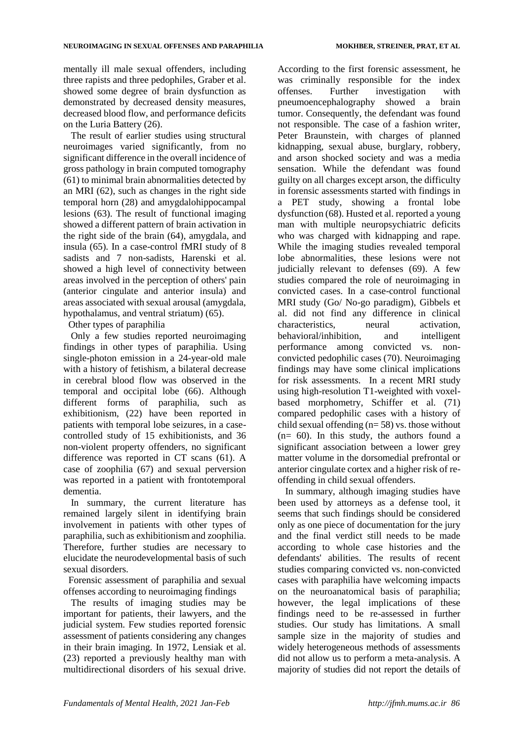mentally ill male sexual offenders, including three rapists and three pedophiles, Graber et al. showed some degree of brain dysfunction as demonstrated by decreased density measures, decreased blood flow, and performance deficits on the Luria Battery (26).

The result of earlier studies using structural neuroimages varied significantly, from no significant difference in the overall incidence of gross pathology in brain computed [tomography](https://www.wizdom.ai/cite-in-google-docs/cid%3Df207539de85422a) (61) to minimal brain abnormalities detected by an M[RI](https://www.wizdom.ai/cite-in-google-docs/cid%3Df207539960b3be0) (62), such as changes in the right side temporal horn (28) and amygdalohippocampal lesions (63). The result of functional imaging showed a different pattern of brain activation in the right si[de of the brain](https://www.wizdom.ai/cite-in-google-docs/cid%3Df20858abad459d1) (64[\),](https://www.wizdom.ai/cite-in-google-docs/cid%3Df20858abad459d1) amygdala, and insula (65). In a case-control fMRI study of 8 sadists and 7 non-sadists, Harenski et al. showed a high level of connectivity between areas involved in the perception of others' pain (anterior cingulate and anterior insula) and areas associated with sexual arousal (amygdala, hypothalamus, and ventral striatum) (65).

Other types of paraphilia

Only a few studies reported neuroimaging findings in other types of paraphilia. Using single-photon emission in a 24-year-old male with a history of fetishism, a bilateral decrease in cerebral blood flow was observed in the temporal and occipital lobe (66[\).](https://www.wizdom.ai/cite-in-google-docs/cid%3Df20f5a787543e3e) Although different forms of paraphilia, such as exhibitionism, (22) have been reported in patients with temporal lobe seizures, in a casecontrolled study of 15 exhibitionists, and 36 non-violent property offenders, no significant difference was reported in CT sca[ns](https://www.wizdom.ai/cite-in-google-docs/cid%3Df20753995651128) (61). A case of zoophilia (67) and sexual perversion was reported in a patient with frontotemporal dementia.

In summary, the current literature has remained largely silent in identifying brain involvement in patients with other types of paraphilia, such as exhibitionism and zoophilia. Therefore, further studies are necessary to elucidate the neurodevelopmental basis of such sexual disorders.

Forensic assessment of paraphilia and sexual offenses according to neuroimaging findings

The results of imaging studies may be important for patients, their lawyers, and the judicial system. Few studies reported forensic assessment of patients considering any changes in their brain imaging. In 1972, Lensiak et al. (23) reported a previously healthy man with multidirectional disorders of his sexual drive.

According to the first forensic assessment, he was criminally responsible for the index offenses. Further investigation with pneumoencephalography showed a brain tumor. Consequently, the defendant was found not responsible. The case of a fashion writer, Peter Braunstein, with charges of planned kidnapping, sexual abuse, burglary, robbery, and arson shocked society and was a media sensation. While the defendant was found guilty on all charges except arson, the difficulty in forensic assessments started with findings in a PET study, showing a frontal lobe dysfunction (68). Husted et al. reported a young man with multiple neuropsychiatric deficits who was charged with kidnapping and rape. While the imaging studies revealed temporal lobe abnormalities, these lesions were not judicially relevant to defenses (69). A few studies compared the role of neuroimaging in convicted cases. In a case-control functional MRI study (Go/ No-go paradigm), Gibbels et al. did not find any difference in clinical characteristics, neural activation, behavioral/inhibition, and intelligent performance among convicted vs. nonconvicted pedophilic cases (70). Neuroimaging findings may have some clinical implications for risk assessments. In a recent MRI study using high-resolution T1-weighted with voxelbased morphometry, Schiffer et al. (71) compared pedophilic cases with a history of child sexual offending  $(n= 58)$  vs. those without  $(n= 60)$ . In this study, the authors found a significant association between a lower grey matter volume in the dorsomedial prefrontal or anterior cingulate cortex and a higher risk of reoffending in child sexual offenders.

In summary, although imaging studies have been used by attorneys as a defense tool, it seems that such findings should be considered only as one piece of documentation for the jury and the final verdict still needs to be made according to whole case histories and the defendants' abilities. The results of recent studies comparing convicted vs. non-convicted cases with paraphilia have welcoming impacts on the neuroanatomical basis of paraphilia; however, the legal implications of these findings need to be re-assessed in further studies. Our study has limitations. A small sample size in the majority of studies and widely heterogeneous methods of assessments did not allow us to perform a meta-analysis. A majority of studies did not report the details of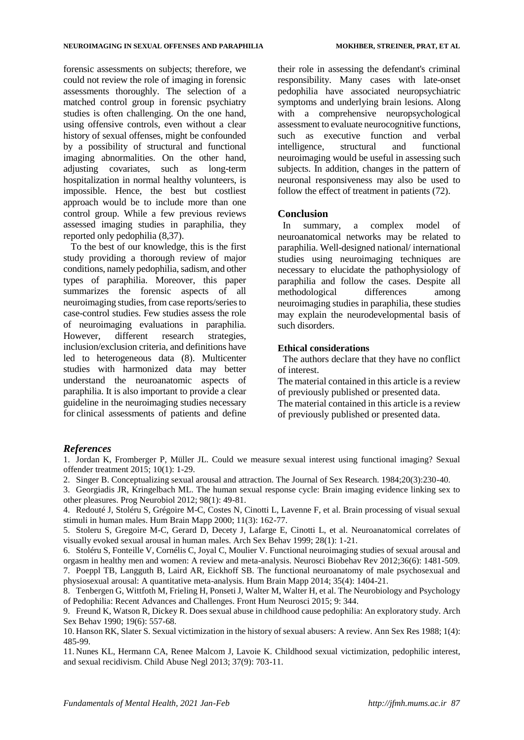forensic assessments on subjects; therefore, we could not review the role of imaging in forensic assessments thoroughly. The selection of a matched control group in forensic psychiatry studies is often challenging. On the one hand, using offensive controls, even without a clear history of sexual offenses, might be confounded by a possibility of structural and functional imaging abnormalities. On the other hand, adjusting covariates, such as long-term hospitalization in normal healthy volunteers, is impossible. Hence, the best but costliest approach would be to include more than one control group. While a few previous reviews assessed imaging studies in paraphilia, they reported only pedophilia (8,37).

To the best of our knowledge, this is the first study providing a thorough review of major conditions, namely pedophilia, sadism, and other types of paraphilia. Moreover, this paper summarizes the forensic aspects of all neuroimaging studies, from case reports/series to case-control studies. Few studies assess the role of neuroimaging evaluations in paraphilia. However, different research strategies, inclusion/exclusion criteria, and definitions have led to heterogeneous data (8[\).](https://www.wizdom.ai/cite-in-google-docs/cid%3Df20f7cff3335f06) Multicenter studies with harmonized data may better understand the neuroanatomic aspects of paraphilia. It is also important to provide a clear guideline in the neuroimaging studies necessary for clinical assessments of patients and define

their role in assessing the defendant's criminal responsibility. Many cases with late-onset pedophilia have associated neuropsychiatric symptoms and underlying brain lesions. Along with a comprehensive neuropsychological assessment to evaluate neurocognitive functions, such as executive function and verbal intelligence, structural and functional neuroimaging would be useful in assessing such subjects. In addition, changes in the pattern of neuronal responsiveness may also be used to follow the effect of treatment in patients (72).

## **Conclusion**

In summary, a complex model of neuroanatomical networks may be related to paraphilia. Well-designed national/ international studies using neuroimaging techniques are necessary to elucidate the pathophysiology of paraphilia and follow the cases. Despite all methodological differences among neuroimaging studies in paraphilia, these studies may explain the neurodevelopmental basis of such disorders.

## **Ethical considerations**

The authors declare that they have no conflict of interest.

The material contained in this article is a review of previously published or presented data.

The material contained in this article is a review of previously published or presented data.

### *References*

1. Jordan K, Fromberger P, Müller JL. Could we measure sexual interest using functional imaging? Sexual offender treatment 2015; 10(1): 1-29.

- 2. Singer B. Conceptualizing sexual arousal and attraction. The Journal of Sex Research. 1984;20(3):230-40.
- 3. Georgiadis JR, Kringelbach ML. The human sexual response cycle: Brain imaging evidence linking sex to other pleasures. Prog Neurobiol 2012; 98(1): 49-81.

4. Redouté J, Stoléru S, Grégoire M-C, Costes N, Cinotti L, Lavenne F, et al. Brain processing of visual sexual stimuli in human males. Hum Brain Mapp 2000; 11(3): 162-77.

5. Stoleru S, Gregoire M-C, Gerard D, Decety J, Lafarge E, Cinotti L, et al. Neuroanatomical correlates of visually evoked sexual arousal in human males. Arch Sex Behav 1999; 28(1): 1-21.

6. Stoléru S, Fonteille V, Cornélis C, Joyal C, Moulier V. Functional neuroimaging studies of sexual arousal and orgasm in healthy men and women: A review and meta-analysis. Neurosci Biobehav Rev 2012;36(6): 1481-509. 7. Poeppl TB, Langguth B, Laird AR, Eickhoff SB. The functional neuroanatomy of male psychosexual and

physiosexual arousal: A quantitative meta-analysis. Hum Brain Mapp 2014; 35(4): 1404-21. 8. Tenbergen G, Wittfoth M, Frieling H, Ponseti J, Walter M, Walter H, et al. The Neurobiology and Psychology of Pedophilia: Recent Advances and Challenges. Front Hum Neurosci 2015; 9: 344.

9. Freund K, Watson R, Dickey R. Does sexual abuse in childhood cause pedophilia: An exploratory study. Arch Sex Behav 1990; 19(6): 557-68.

10. Hanson RK, Slater S. Sexual victimization in the history of sexual abusers: A review. Ann Sex Res 1988; 1(4): 485-99.

11. Nunes KL, Hermann CA, Renee Malcom J, Lavoie K. Childhood sexual victimization, pedophilic interest, and sexual recidivism. Child Abuse Negl 2013; 37(9): 703-11.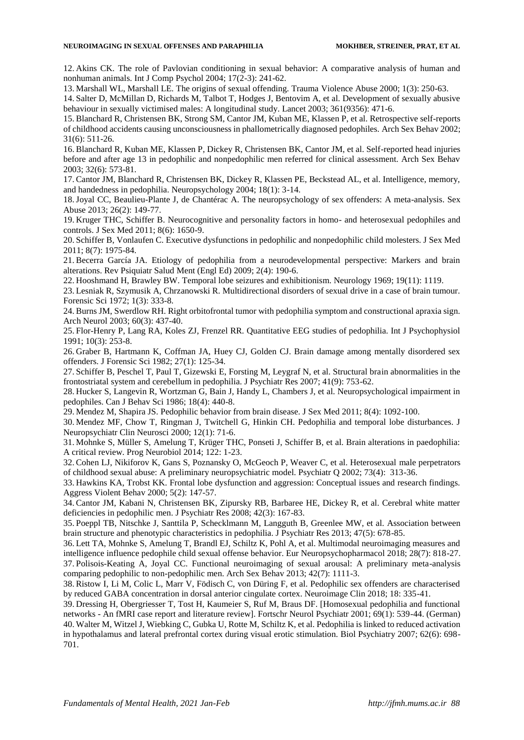12. Akins CK. The role of Pavlovian conditioning in sexual behavior: A comparative analysis of human and nonhuman animals. Int J Comp Psychol 2004; 17(2-3): 241-62.

13. Marshall WL, Marshall LE. The origins of sexual offending. Trauma Violence Abuse 2000; 1(3): 250-63.

14. Salter D, McMillan D, Richards M, Talbot T, Hodges J, Bentovim A, et al. Development of sexually abusive behaviour in sexually victimised males: A longitudinal study. Lancet 2003; 361(9356): 471-6.

15. Blanchard R, Christensen BK, Strong SM, Cantor JM, Kuban ME, Klassen P, et al. Retrospective self-reports of childhood accidents causing unconsciousness in phallometrically diagnosed pedophiles. Arch Sex Behav 2002; 31(6): 511-26.

16. Blanchard R, Kuban ME, Klassen P, Dickey R, Christensen BK, Cantor JM, et al. Self-reported head injuries before and after age 13 in pedophilic and nonpedophilic men referred for clinical assessment. Arch Sex Behav 2003; 32(6): 573-81.

17. Cantor JM, Blanchard R, Christensen BK, Dickey R, Klassen PE, Beckstead AL, et al. Intelligence, memory, and handedness in pedophilia. Neuropsychology 2004; 18(1): 3-14.

18.Joyal CC, Beaulieu-Plante J, de Chantérac A. The neuropsychology of sex offenders: A meta-analysis. Sex Abuse 2013; 26(2): 149-77.

19. Kruger THC, Schiffer B. Neurocognitive and personality factors in homo- and heterosexual pedophiles and controls. J Sex Med 2011; 8(6): 1650-9.

20. Schiffer B, Vonlaufen C. Executive dysfunctions in pedophilic and nonpedophilic child molesters. J Sex Med 2011; 8(7): 1975-84.

21. Becerra García JA. Etiology of pedophilia from a neurodevelopmental perspective: Markers and brain alterations. Rev Psiquiatr Salud Ment (Engl Ed) 2009; 2(4): 190-6.

22. Hooshmand H, Brawley BW. Temporal lobe seizures and exhibitionism. Neurology 1969; 19(11): 1119.

23. Lesniak R, Szymusik A, Chrzanowski R. Multidirectional disorders of sexual drive in a case of brain tumour. Forensic Sci 1972; 1(3): 333-8.

24. Burns JM, Swerdlow RH. Right orbitofrontal tumor with pedophilia symptom and constructional apraxia sign. Arch Neurol 2003; 60(3): 437-40.

25. Flor-Henry P, Lang RA, Koles ZJ, Frenzel RR. Quantitative EEG studies of pedophilia. Int J Psychophysiol 1991; 10(3): 253-8.

26. Graber B, Hartmann K, Coffman JA, Huey CJ, Golden CJ. Brain damage among mentally disordered sex offenders. J Forensic Sci 1982; 27(1): 125-34.

27. Schiffer B, Peschel T, Paul T, Gizewski E, Forsting M, Leygraf N, et al. Structural brain abnormalities in the frontostriatal system and cerebellum in pedophilia. J Psychiatr Res 2007; 41(9): 753-62.

28. Hucker S, Langevin R, Wortzman G, Bain J, Handy L, Chambers J, et al. Neuropsychological impairment in pedophiles. Can J Behav Sci 1986; 18(4): 440-8.

29. Mendez M, Shapira JS. Pedophilic behavior from brain disease. J Sex Med 2011; 8(4): 1092-100.

30. Mendez MF, Chow T, Ringman J, Twitchell G, Hinkin CH. Pedophilia and temporal lobe disturbances. J Neuropsychiatr Clin Neurosci 2000; 12(1): 71-6.

31. Mohnke S, Müller S, Amelung T, Krüger THC, Ponseti J, Schiffer B, et al. Brain alterations in paedophilia: A critical review. Prog Neurobiol 2014; 122: 1-23.

32. Cohen LJ, Nikiforov K, Gans S, Poznansky O, McGeoch P, Weaver C, et al. Heterosexual male perpetrators of childhood sexual abuse: A preliminary neuropsychiatric model. Psychiatr Q 2002; 73(4): 313-36.

33. Hawkins KA, Trobst KK. Frontal lobe dysfunction and aggression: Conceptual issues and research findings. Aggress Violent Behav 2000; 5(2): 147-57.

34. Cantor JM, Kabani N, Christensen BK, Zipursky RB, Barbaree HE, Dickey R, et al. Cerebral white matter deficiencies in pedophilic men. J Psychiatr Res 2008; 42(3): 167-83.

35. Poeppl TB, Nitschke J, Santtila P, Schecklmann M, Langguth B, Greenlee MW, et al. Association between brain structure and phenotypic characteristics in pedophilia. J Psychiatr Res 2013; 47(5): 678-85.

36. Lett TA, Mohnke S, Amelung T, Brandl EJ, Schiltz K, Pohl A, et al. Multimodal neuroimaging measures and intelligence influence pedophile child sexual offense behavior. Eur Neuropsychopharmacol 2018; 28(7): 818-27. 37. Polisois-Keating A, Joyal CC. Functional neuroimaging of sexual arousal: A preliminary meta-analysis comparing pedophilic to non-pedophilic men. Arch Sex Behav 2013; 42(7): 1111-3.

38. Ristow I, Li M, Colic L, Marr V, Födisch C, von Düring F, et al. Pedophilic sex offenders are characterised by reduced GABA concentration in dorsal anterior cingulate cortex. Neuroimage Clin 2018; 18: 335-41.

39. Dressing H, Obergriesser T, Tost H, Kaumeier S, Ruf M, Braus DF. [Homosexual pedophilia and functional networks - An fMRI case report and literature review]. Fortschr Neurol Psychiatr 2001; 69(1): 539-44. (German) 40. Walter M, Witzel J, Wiebking C, Gubka U, Rotte M, Schiltz K, et al. Pedophilia is linked to reduced activation in hypothalamus and lateral prefrontal cortex during visual erotic stimulation. Biol Psychiatry 2007; 62(6): 698- 701.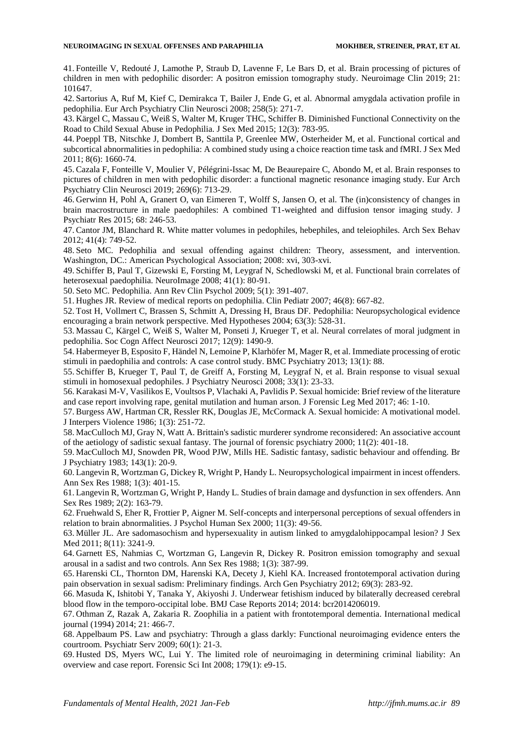41. Fonteille V, Redouté J, Lamothe P, Straub D, Lavenne F, Le Bars D, et al. Brain processing of pictures of children in men with pedophilic disorder: A positron emission tomography study. Neuroimage Clin 2019; 21: 101647.

42. Sartorius A, Ruf M, Kief C, Demirakca T, Bailer J, Ende G, et al. Abnormal amygdala activation profile in pedophilia. Eur Arch Psychiatry Clin Neurosci 2008; 258(5): 271-7.

43. Kärgel C, Massau C, Weiß S, Walter M, Kruger THC, Schiffer B. Diminished Functional Connectivity on the Road to Child Sexual Abuse in Pedophilia. J Sex Med 2015; 12(3): 783-95.

44. Poeppl TB, Nitschke J, Dombert B, Santtila P, Greenlee MW, Osterheider M, et al. Functional cortical and subcortical abnormalities in pedophilia: A combined study using a choice reaction time task and fMRI. J Sex Med 2011; 8(6): 1660-74.

45. Cazala F, Fonteille V, Moulier V, Pélégrini-Issac M, De Beaurepaire C, Abondo M, et al. Brain responses to pictures of children in men with pedophilic disorder: a functional magnetic resonance imaging study. Eur Arch Psychiatry Clin Neurosci 2019; 269(6): 713-29.

46. Gerwinn H, Pohl A, Granert O, van Eimeren T, Wolff S, Jansen O, et al. The (in)consistency of changes in brain macrostructure in male paedophiles: A combined T1-weighted and diffusion tensor imaging study. J Psychiatr Res 2015; 68: 246-53.

47. Cantor JM, Blanchard R. White matter volumes in pedophiles, hebephiles, and teleiophiles. Arch Sex Behav 2012; 41(4): 749-52.

48. Seto MC. Pedophilia and sexual offending against children: Theory, assessment, and intervention. Washington, DC.: American Psychological Association; 2008: xvi, 303-xvi.

49. Schiffer B, Paul T, Gizewski E, Forsting M, Leygraf N, Schedlowski M, et al. Functional brain correlates of heterosexual paedophilia. NeuroImage 2008; 41(1): 80-91.

50. Seto MC. Pedophilia. Ann Rev Clin Psychol 2009; 5(1): 391-407.

51. Hughes JR. Review of medical reports on pedophilia. Clin Pediatr 2007; 46(8): 667-82.

52. Tost H, Vollmert C, Brassen S, Schmitt A, Dressing H, Braus DF. Pedophilia: Neuropsychological evidence encouraging a brain network perspective. Med Hypotheses 2004; 63(3): 528-31.

53. Massau C, Kärgel C, Weiß S, Walter M, Ponseti J, Krueger T, et al. Neural correlates of moral judgment in pedophilia. Soc Cogn Affect Neurosci 2017; 12(9): 1490-9.

54. Habermeyer B, Esposito F, Händel N, Lemoine P, Klarhöfer M, Mager R, et al. Immediate processing of erotic stimuli in paedophilia and controls: A case control study. BMC Psychiatry 2013; 13(1): 88.

55. Schiffer B, Krueger T, Paul T, de Greiff A, Forsting M, Leygraf N, et al. Brain response to visual sexual stimuli in homosexual pedophiles. J Psychiatry Neurosci 2008; 33(1): 23-33.

56. Karakasi M-V, Vasilikos E, Voultsos P, Vlachaki A, Pavlidis P. Sexual homicide: Brief review of the literature and case report involving rape, genital mutilation and human arson. J Forensic Leg Med 2017; 46: 1-10.

57. Burgess AW, Hartman CR, Ressler RK, Douglas JE, McCormack A. Sexual homicide: A motivational model. J Interpers Violence 1986; 1(3): 251-72.

58. MacCulloch MJ, Gray N, Watt A. Brittain's sadistic murderer syndrome reconsidered: An associative account of the aetiology of sadistic sexual fantasy. The journal of forensic psychiatry 2000; 11(2): 401-18.

59. MacCulloch MJ, Snowden PR, Wood PJW, Mills HE. Sadistic fantasy, sadistic behaviour and offending. Br J Psychiatry 1983; 143(1): 20-9.

60. Langevin R, Wortzman G, Dickey R, Wright P, Handy L. Neuropsychological impairment in incest offenders. Ann Sex Res 1988; 1(3): 401-15.

61. Langevin R, Wortzman G, Wright P, Handy L. Studies of brain damage and dysfunction in sex offenders. Ann Sex Res 1989; 2(2): 163-79.

62. Fruehwald S, Eher R, Frottier P, Aigner M. Self-concepts and interpersonal perceptions of sexual offenders in relation to brain abnormalities. J Psychol Human Sex 2000; 11(3): 49-56.

63. Müller JL. Are sadomasochism and hypersexuality in autism linked to amygdalohippocampal lesion? J Sex Med 2011; 8(11): 3241-9.

64. Garnett ES, Nahmias C, Wortzman G, Langevin R, Dickey R. Positron emission tomography and sexual arousal in a sadist and two controls. Ann Sex Res 1988; 1(3): 387-99.

65. Harenski CL, Thornton DM, Harenski KA, Decety J, Kiehl KA. Increased frontotemporal activation during pain observation in sexual sadism: Preliminary findings. Arch Gen Psychiatry 2012; 69(3): 283-92.

66. Masuda K, Ishitobi Y, Tanaka Y, Akiyoshi J. Underwear fetishism induced by bilaterally decreased cerebral blood flow in the temporo-occipital lobe. BMJ Case Reports 2014; 2014: bcr2014206019.

67. Othman Z, Razak A, Zakaria R. Zoophilia in a patient with frontotemporal dementia. International medical journal (1994) 2014; 21: 466-7.

68. Appelbaum PS. Law and psychiatry: Through a glass darkly: Functional neuroimaging evidence enters the courtroom. Psychiatr Serv 2009; 60(1): 21-3.

69. Husted DS, Myers WC, Lui Y. The limited role of neuroimaging in determining criminal liability: An overview and case report. Forensic Sci Int 2008; 179(1): e9-15.